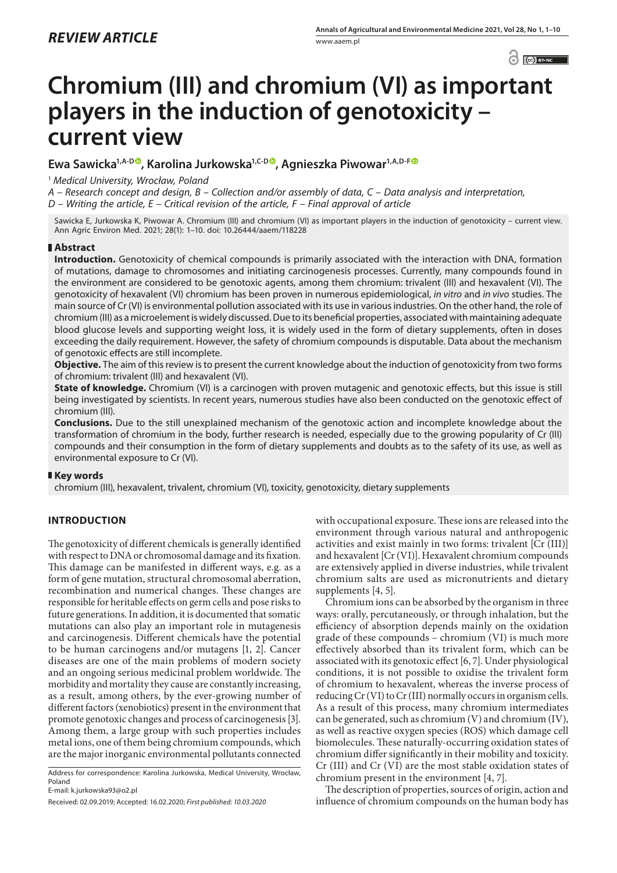$\odot$   $\odot$  BY-NC

# **Chromium (III) and chromium (VI) as important players in the induction of genotoxicity – current view**

# **Ewa Sawicka1,A-[D](https://orcid.org/0000-0002-7443-8713) , Karolina Jurkowska1,C-D [,](https://orcid.org/0000-0001-8023-7021) Agnieszka Piwowar1,A,D-F**

<sup>1</sup> *Medical University, Wrocław, Poland*

*A – Research concept and design, B – Collection and/or assembly of data, C – Data analysis and interpretation,* 

*D – Writing the article, E – Critical revision of the article, F – Final approval of article*

Sawicka E, Jurkowska K, Piwowar A. Chromium (III) and chromium (VI) as important players in the induction of genotoxicity – current view. Ann Agric Environ Med. 2021; 28(1): 1–10. doi: 10.26444/aaem/118228

## **Abstract**

**Introduction.** Genotoxicity of chemical compounds is primarily associated with the interaction with DNA, formation of mutations, damage to chromosomes and initiating carcinogenesis processes. Currently, many compounds found in the environment are considered to be genotoxic agents, among them chromium: trivalent (III) and hexavalent (VI). The genotoxicity of hexavalent (VI) chromium has been proven in numerous epidemiological, *in vitro* and *in vivo* studies. The main source of Cr (VI) is environmental pollution associated with its use in various industries. On the other hand, the role of chromium (III) as a microelement is widely discussed. Due to its beneficial properties, associated with maintaining adequate blood glucose levels and supporting weight loss, it is widely used in the form of dietary supplements, often in doses exceeding the daily requirement. However, the safety of chromium compounds is disputable. Data about the mechanism of genotoxic effects are still incomplete.

**Objective.** The aim of this review is to present the current knowledge about the induction of genotoxicity from two forms of chromium: trivalent (III) and hexavalent (VI).

**State of knowledge.** Chromium (VI) is a carcinogen with proven mutagenic and genotoxic effects, but this issue is still being investigated by scientists. In recent years, numerous studies have also been conducted on the genotoxic effect of chromium (III).

**Conclusions.** Due to the still unexplained mechanism of the genotoxic action and incomplete knowledge about the transformation of chromium in the body, further research is needed, especially due to the growing popularity of Cr (III) compounds and their consumption in the form of dietary supplements and doubts as to the safety of its use, as well as environmental exposure to Cr (VI).

## **Key words**

chromium (III), hexavalent, trivalent, chromium (VI), toxicity, genotoxicity, dietary supplements

## **INTRODUCTION**

The genotoxicity of different chemicals is generally identified with respect to DNA or chromosomal damage and its fixation. This damage can be manifested in different ways, e.g. as a form of gene mutation, structural chromosomal aberration, recombination and numerical changes. These changes are responsible for heritable effects on germ cells and pose risks to future generations. In addition, it is documented that somatic mutations can also play an important role in mutagenesis and carcinogenesis. Different chemicals have the potential to be human carcinogens and/or mutagens [1, 2]. Cancer diseases are one of the main problems of modern society and an ongoing serious medicinal problem worldwide. The morbidity and mortality they cause are constantly increasing, as a result, among others, by the ever-growing number of different factors (xenobiotics) present in the environment that promote genotoxic changes and process of carcinogenesis [3]. Among them, a large group with such properties includes metal ions, one of them being chromium compounds, which are the major inorganic environmental pollutants connected

Address for correspondence: Karolina Jurkowska, Medical University, Wrocław, Poland

E-mail: k.jurkowska93@o2.pl

with occupational exposure. These ions are released into the environment through various natural and anthropogenic activities and exist mainly in two forms: trivalent [Cr (III)] and hexavalent [Cr (VI)]. Hexavalent chromium compounds are extensively applied in diverse industries, while trivalent chromium salts are used as micronutrients and dietary supplements [4, 5].

Chromium ions can be absorbed by the organism in three ways: orally, percutaneously, or through inhalation, but the efficiency of absorption depends mainly on the oxidation grade of these compounds – chromium (VI) is much more effectively absorbed than its trivalent form, which can be associated with its genotoxic effect [6, 7]. Under physiological conditions, it is not possible to oxidise the trivalent form of chromium to hexavalent, whereas the inverse process of reducing Cr (VI) to Cr (III) normally occurs in organism cells. As a result of this process, many chromium intermediates can be generated, such as chromium (V) and chromium (IV), as well as reactive oxygen species (ROS) which damage cell biomolecules. These naturally-occurring [oxidation](https://www.sciencedirect.com/topics/biochemistry-genetics-and-molecular-biology/alpha-oxidation) states of chromium differ significantly in their mobility and toxicity. Cr (III) and Cr (VI) are the most stable oxidation states of chromium present in the environment [4, 7].

The description of properties, sources of origin, action and influence of chromium compounds on the human body has

Received: 02.09.2019; Accepted: 16.02.2020; *First published: 10.03.2020*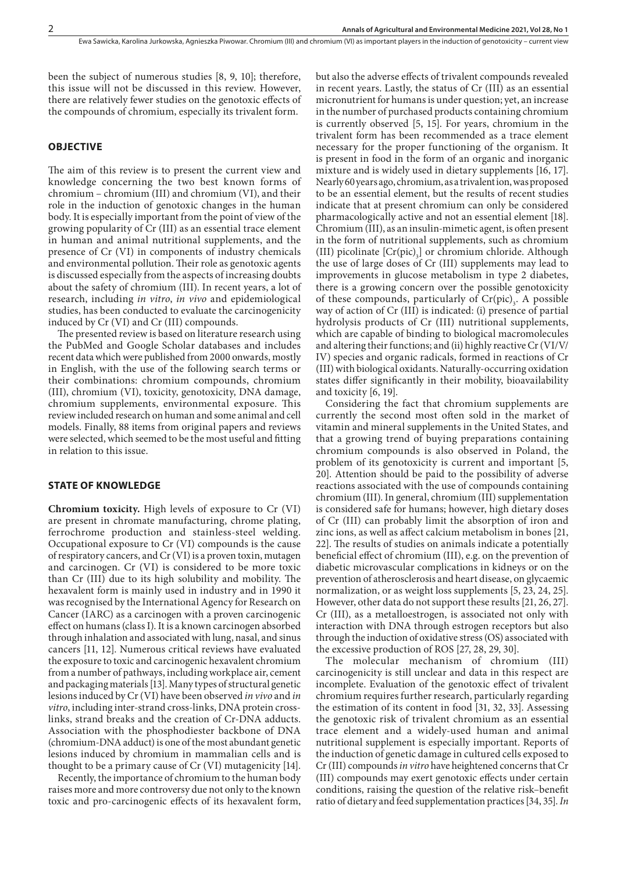Ewa Sawicka, Karolina Jurkowska, Agnieszka Piwowar . Chromium (III) and chromium (VI) as important players in the induction of genotoxicity – current view

been the subject of numerous studies [8, 9, 10]; therefore, this issue will not be discussed in this review. However, there are relatively fewer studies on the genotoxic effects of the compounds of chromium, especially its trivalent form.

#### **OBJECTIVE**

The aim of this review is to present the current view and knowledge concerning the two best known forms of chromium – chromium (III) and chromium (VI), and their role in the induction of genotoxic changes in the human body. It is especially important from the point of view of the growing popularity of Cr (III) as an essential trace element in human and animal nutritional supplements, and the presence of Cr (VI) in components of industry chemicals and environmental pollution. Their role as genotoxic agents is discussed especially from the aspects of increasing doubts about the safety of chromium (III). In recent years, a lot of research, including *in vitro*, *in vivo* and epidemiological studies, has been conducted to evaluate the carcinogenicity induced by Cr (VI) and Cr (III) compounds.

The presented review is based on literature research using the PubMed and Google Scholar databases and includes recent data which were published from 2000 onwards, mostly in English, with the use of the following search terms or their combinations: chromium compounds, chromium (III), chromium (VI), toxicity, genotoxicity, DNA damage, chromium supplements, environmental exposure. This review included research on human and some animal and cell models. Finally, 88 items from original papers and reviews were selected, which seemed to be the most useful and fitting in relation to this issue.

#### **STATE OF KNOWLEDGE**

**Chromium toxicity.** High levels of exposure to Cr (VI) are present in chromate manufacturing, chrome plating, ferrochrome production and stainless-steel welding. Occupational exposure to Cr (VI) compounds is the cause of respiratory cancers, and Cr (VI) is a proven toxin, mutagen and carcinogen. Cr (VI) is considered to be more toxic than Cr (III) due to its high solubility and mobility. The hexavalent form is mainly used in industry and in 1990 it was recognised by the International Agency for Research on Cancer (IARC) as a carcinogen with a proven carcinogenic effect on humans (class I). It is a known carcinogen absorbed through inhalation and associated with lung, nasal, and sinus cancers [11, 12]. Numerous critical reviews have evaluated the exposure to toxic and carcinogenic hexavalent chromium from a number of pathways, including workplace air, cement and packaging materials [13]. Many types of structural genetic lesions induced by Cr (VI) have been observed *in vivo* and *in vitro*, including inter-strand cross-links, DNA protein crosslinks, strand breaks and the creation of Cr-DNA adducts. Association with the phosphodiester backbone of DNA (chromium-DNA adduct) is one of the most abundant genetic lesions induced by chromium in mammalian cells and is thought to be a primary cause of Cr (VI) mutagenicity [14].

Recently, the importance of chromium to the human body raises more and more controversy due not only to the known toxic and pro-carcinogenic effects of its hexavalent form, but also the adverse effects of trivalent compounds revealed in recent years. Lastly, the status of Cr (III) as an essential micronutrient for humans is under question; yet, an increase in the number of purchased products containing chromium is currently observed [5, 15]. For years, chromium in the trivalent form has been recommended as a trace element necessary for the proper functioning of the organism. It is present in food in the form of an organic and inorganic mixture and is widely used in dietary supplements [16, 17]. Nearly 60 years ago, chromium, as a trivalent ion, was proposed to be an essential element, but the results of recent studies indicate that at present chromium can only be considered pharmacologically active and not an essential element [18]. Chromium (III), as an insulin-mimetic agent, is often present in the form of nutritional supplements, such as chromium (III) picolinate  $[Cr(pic)_3]$  or chromium chloride. Although the use of large doses of Cr (III) supplements may lead to improvements in glucose metabolism in type 2 diabetes, there is a growing concern over the possible genotoxicity of these compounds, particularly of  $Cr(pic)$ , A possible way of action of Cr (III) is indicated: (i) presence of partial hydrolysis products of Cr (III) nutritional supplements, which are capable of binding to biological macromolecules and altering their functions; and (ii) highly reactive Cr (VI/V/ IV) species and organic radicals, formed in reactions of Cr (III) with biological oxidants. Naturally-occurring [oxidation](https://www.sciencedirect.com/topics/biochemistry-genetics-and-molecular-biology/alpha-oxidation) states differ significantly in their mobility, [bioavailability](https://www.sciencedirect.com/topics/chemistry/bioavailability) and toxicity [6, 19].

Considering the fact that chromium supplements are currently the second most often sold in the market of vitamin and mineral supplements in the United States, and that a growing trend of buying preparations containing chromium compounds is also observed in Poland, the problem of its genotoxicity is current and important [5, 20]. Attention should be paid to the possibility of adverse reactions associated with the use of compounds containing chromium (III). In general, chromium (III) supplementation is considered safe for humans; however, high dietary doses of Cr (III) can probably limit the absorption of iron and zinc ions, as well as affect calcium metabolism in bones [21, 22]. The results of studies on animals indicate a potentially beneficial effect of chromium (III), e.g. on the prevention of diabetic microvascular complications in kidneys or on the prevention of atherosclerosis and heart disease, on glycaemic normalization, or as weight loss supplements [5, 23, 24, 25]. However, other data do not support these results [21, 26, 27]. Cr (III), as a metalloestrogen, is associated not only with interaction with DNA through estrogen receptors but also through the induction of oxidative stress (OS) associated with the excessive production of ROS [27, 28, 29, 30].

The molecular mechanism of chromium (III) carcinogenicity is still unclear and data in this respect are incomplete. Evaluation of the genotoxic effect of trivalent chromium requires further research, particularly regarding the estimation of its content in food [31, 32, 33]. Assessing the genotoxic risk of trivalent chromium as an essential trace element and a widely-used human and animal nutritional supplement is especially important. Reports of the induction of genetic damage in cultured cells exposed to Cr (III) compounds *in vitro* have heightened concerns that Cr (III) compounds may exert genotoxic effects under certain conditions, raising the question of the relative risk–benefit ratio of dietary and feed supplementation practices [34, 35]. *In*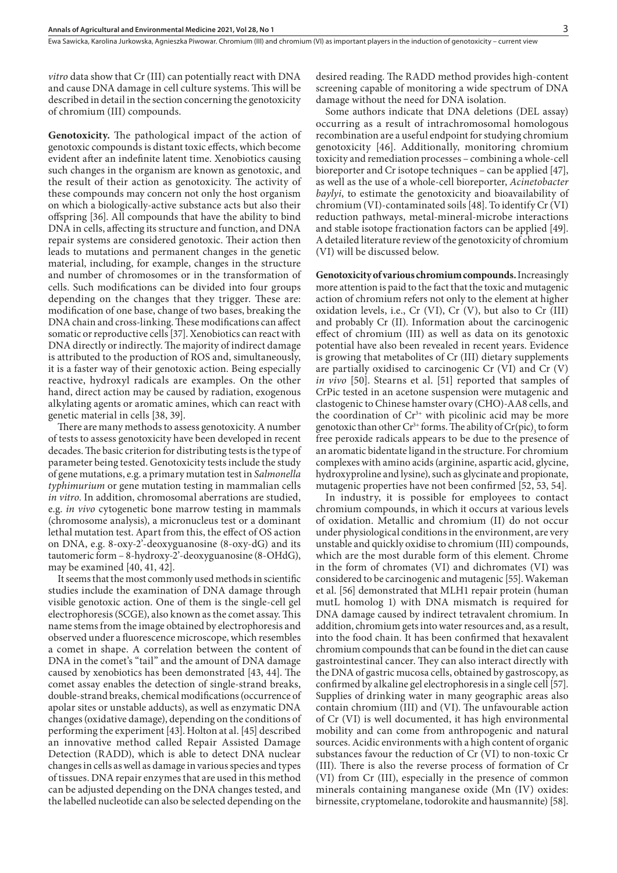*vitro* data show that Cr (III) can potentially react with DNA and cause DNA damage in cell culture systems. This will be described in detail in the section concerning the genotoxicity of chromium (III) compounds.

**Genotoxicity.** The pathological impact of the action of genotoxic compounds is distant toxic effects, which become evident after an indefinite latent time. Xenobiotics causing such changes in the organism are known as genotoxic, and the result of their action as genotoxicity. The activity of these compounds may concern not only the host organism on which a biologically-active substance acts but also their offspring [36]. All compounds that have the ability to bind DNA in cells, affecting its structure and function, and DNA repair systems are considered genotoxic. Their action then leads to mutations and permanent changes in the genetic material, including, for example, changes in the structure and number of chromosomes or in the transformation of cells. Such modifications can be divided into four groups depending on the changes that they trigger. These are: modification of one base, change of two bases, breaking the DNA chain and cross-linking. These modifications can affect somatic or reproductive cells [37]. Xenobiotics can react with DNA directly or indirectly. The majority of indirect damage is attributed to the production of ROS and, simultaneously, it is a faster way of their genotoxic action. Being especially reactive, hydroxyl radicals are examples. On the other hand, direct action may be caused by radiation, exogenous alkylating agents or aromatic amines, which can react with genetic material in cells [38, 39].

There are many methods to assess genotoxicity. A number of tests to assess genotoxicity have been developed in recent decades. The basic criterion for distributing tests is the type of parameter being tested. Genotoxicity tests include the study of gene mutations, e.g. a primary mutation test in *Salmonella typhimurium* or gene mutation testing in mammalian cells *in vitro*. In addition, chromosomal aberrations are studied, e.g. *in vivo* cytogenetic bone marrow testing in mammals (chromosome analysis), a micronucleus test or a dominant lethal mutation test. Apart from this, the effect of OS action on DNA, e.g. 8-oxy-2'-deoxyguanosine (8-oxy-dG) and its tautomeric form – 8-hydroxy-2'-deoxyguanosine (8-OHdG), may be examined [40, 41, 42].

It seems that the most commonly used methods in scientific studies include the examination of DNA damage through visible genotoxic action. One of them is the single-cell gel electrophoresis (SCGE), also known as the comet assay. This name stems from the image obtained by electrophoresis and observed under a fluorescence microscope, which resembles a comet in shape. A correlation between the content of DNA in the comet's "tail" and the amount of DNA damage caused by xenobiotics has been demonstrated [43, 44]. The comet assay enables the detection of single-strand breaks, double-strand breaks, chemical modifications (occurrence of apolar sites or unstable adducts), as well as enzymatic DNA changes (oxidative damage), depending on the conditions of performing the experiment [43]. Holton at al. [45] described an innovative method called Repair Assisted Damage Detection (RADD), which is able to detect DNA nuclear changes in cells as well as damage in various species and types of tissues. DNA repair enzymes that are used in this method can be adjusted depending on the DNA changes tested, and the labelled nucleotide can also be selected depending on the

desired reading. The RADD method provides high-content screening capable of monitoring a wide spectrum of DNA damage without the need for DNA isolation.

Some authors indicate that DNA deletions (DEL assay) occurring as a result of intrachromosomal homologous recombination are a useful endpoint for studying chromium genotoxicity [46]. Additionally, monitoring chromium toxicity and remediation processes – combining a whole-cell bioreporter and Cr isotope techniques – can be applied [47], as well as the use of a whole-cell bioreporter, *Acinetobacter baylyi*, to estimate the genotoxicity and bioavailability of chromium (VI)-contaminated soils [48]. To identify Cr (VI) reduction pathways, metal-mineral-microbe interactions and stable isotope fractionation factors can be applied [49]. A detailed literature review of the genotoxicity of chromium (VI) will be discussed below.

**Genotoxicity of various chromium compounds.** Increasingly more attention is paid to the fact that the toxic and mutagenic action of chromium refers not only to the element at higher oxidation levels, i.e., Cr (VI), Cr (V), but also to Cr (III) and probably Cr (II). Information about the carcinogenic effect of chromium (III) as well as data on its genotoxic potential have also been revealed in recent years. Evidence is growing that metabolites of Cr (III) dietary supplements are partially oxidised to carcinogenic Cr (VI) and Cr (V) *in vivo* [50]. Stearns et al. [51] reported that samples of CrPic tested in an acetone suspension were mutagenic and clastogenic to Chinese hamster ovary (CHO)-AA8 cells, and the coordination of  $Cr<sup>3+</sup>$  with picolinic acid may be more genotoxic than other  $Cr^{3+}$  forms. The ability of  $Cr(\text{pic})$ <sub>3</sub> to form free peroxide radicals appears to be due to the presence of an aromatic bidentate ligand in the structure. For chromium complexes with amino acids (arginine, aspartic acid, glycine, hydroxyproline and lysine), such as glycinate and propionate, mutagenic properties have not been confirmed [52, 53, 54].

In industry, it is possible for employees to contact chromium compounds, in which it occurs at various levels of oxidation. Metallic and chromium (II) do not occur under physiological conditions in the environment, are very unstable and quickly oxidise to chromium (III) compounds, which are the most durable form of this element. Chrome in the form of chromates (VI) and dichromates (VI) was considered to be carcinogenic and mutagenic [55]. Wakeman et al. [56] demonstrated that MLH1 repair protein (human mutL homolog 1) with DNA mismatch is required for DNA damage caused by indirect tetravalent chromium. In addition, chromium gets into water resources and, as a result, into the food chain. It has been confirmed that hexavalent chromium compounds that can be found in the diet can cause gastrointestinal cancer. They can also interact directly with the DNA of gastric mucosa cells, obtained by gastroscopy, as confirmed by alkaline gel electrophoresis in a single cell [57]. Supplies of drinking water in many geographic areas also contain chromium (III) and (VI). The unfavourable action of Cr (VI) is well documented, it has high environmental mobility and can come from anthropogenic and natural sources. Acidic environments with a high content of organic substances favour the reduction of Cr (VI) to non-toxic Cr (III). There is also the reverse process of formation of Cr (VI) from Cr (III), especially in the presence of common minerals containing manganese oxide (Mn (IV) oxides: birnessite, cryptomelane, todorokite and hausmannite) [58].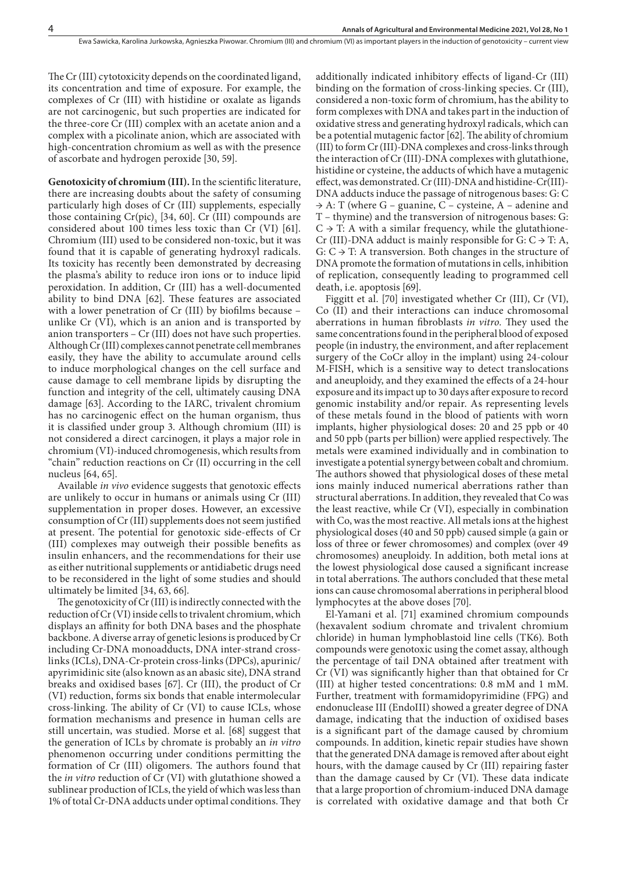The Cr (III) cytotoxicity depends on the coordinated ligand, its concentration and time of exposure. For example, the complexes of Cr (III) with histidine or oxalate as ligands are not carcinogenic, but such properties are indicated for the three-core Cr (III) complex with an acetate anion and a complex with a picolinate anion, which are associated with high-concentration chromium as well as with the presence of ascorbate and hydrogen peroxide [30, 59].

**Genotoxicity of chromium (III).** In the scientific literature, there are increasing doubts about the safety of consuming particularly high doses of Cr (III) supplements, especially those containing  $Cr(pic)$ , [34, 60]. Cr (III) compounds are considered about 100 times less toxic than Cr (VI) [61]. Chromium (III) used to be considered non-toxic, but it was found that it is capable of generating hydroxyl radicals. Its toxicity has recently been demonstrated by decreasing the plasma's ability to reduce iron ions or to induce lipid peroxidation. In addition, Cr (III) has a well-documented ability to bind DNA [62]. These features are associated with a lower penetration of Cr (III) by biofilms because – unlike Cr (VI), which is an anion and is transported by anion transporters – Cr (III) does not have such properties. Although Cr (III) complexes cannot penetrate cell membranes easily, they have the ability to accumulate around cells to induce morphological changes on the cell surface and cause damage to cell membrane lipids by disrupting the function and integrity of the cell, ultimately causing DNA damage [63]. According to the IARC, trivalent chromium has no carcinogenic effect on the human organism, thus it is classified under group 3. Although chromium (III) is not considered a direct carcinogen, it plays a major role in chromium (VI)-induced chromogenesis, which results from "chain" reduction reactions on Cr (II) occurring in the cell nucleus [64, 65].

Available *in vivo* evidence suggests that genotoxic effects are unlikely to occur in humans or animals using Cr (III) supplementation in proper doses. However, an excessive consumption of Cr (III) supplements does not seem justified at present. The potential for genotoxic side-effects of Cr (III) complexes may outweigh their possible benefits as insulin enhancers, and the recommendations for their use as either nutritional supplements or antidiabetic drugs need to be reconsidered in the light of some studies and should ultimately be limited [34, 63, 66].

The genotoxicity of Cr (III) is indirectly connected with the reduction of Cr (VI) inside cells to trivalent chromium, which displays an affinity for both DNA bases and the phosphate backbone. A diverse array of genetic lesions is produced by Cr including Cr-DNA monoadducts, DNA inter-strand crosslinks (ICLs), DNA-Cr-protein cross-links (DPCs), apurinic/ apyrimidinic site (also known as an abasic site), DNA strand breaks and oxidised bases [67]. Cr (III), the product of Cr (VI) reduction, forms six bonds that enable intermolecular cross-linking. The ability of Cr (VI) to cause ICLs, whose formation mechanisms and presence in human cells are still uncertain, was studied. Morse et al. [68] suggest that the generation of ICLs by chromate is probably an *in vitro* phenomenon occurring under conditions permitting the formation of Cr (III) oligomers. The authors found that the *in vitro* reduction of Cr (VI) with glutathione showed a sublinear production of ICLs, the yield of which was less than 1% of total Cr-DNA adducts under optimal conditions. They

additionally indicated inhibitory effects of ligand-Cr (III) binding on the formation of cross-linking species. Cr (III), considered a non-toxic form of chromium, has the ability to form complexes with DNA and takes part in the induction of oxidative stress and generating hydroxyl radicals, which can be a potential mutagenic factor [62]. The ability of chromium (III) to form Cr (III)-DNA complexes and cross-links through the interaction of Cr (III)-DNA complexes with glutathione, histidine or cysteine, the adducts of which have a mutagenic effect, was demonstrated. Cr (III)-DNA and histidine-Cr(III)- DNA adducts induce the passage of nitrogenous bases: G: C  $\rightarrow$  A: T (where G – guanine, C – cysteine, A – adenine and T – thymine) and the transversion of nitrogenous bases: G:  $C \rightarrow T$ : A with a similar frequency, while the glutathione-Cr (III)-DNA adduct is mainly responsible for  $G: C \rightarrow T: A$ ,  $G: C \rightarrow T$ : A transversion. Both changes in the structure of DNA promote the formation of mutations in cells, inhibition of replication, consequently leading to programmed cell death, i.e. apoptosis [69].

Figgitt et al. [70] investigated whether Cr (III), Cr (VI), Co (II) and their interactions can induce chromosomal aberrations in human fibroblasts *in vitro.* They used the same concentrations found in the peripheral blood of exposed people (in industry, the environment, and after replacement surgery of the CoCr alloy in the implant) using 24-colour M-FISH, which is a sensitive way to detect translocations and aneuploidy, and they examined the effects of a 24-hour exposure and its impact up to 30 days after exposure to record genomic instability and/or repair. As representing levels of these metals found in the blood of patients with worn implants, higher physiological doses: 20 and 25 ppb or 40 and 50 ppb (parts per billion) were applied respectively. The metals were examined individually and in combination to investigate a potential synergy between cobalt and chromium. The authors showed that physiological doses of these metal ions mainly induced numerical aberrations rather than structural aberrations. In addition, they revealed that Co was the least reactive, while Cr (VI), especially in combination with Co, was the most reactive. All metals ions at the highest physiological doses (40 and 50 ppb) caused simple (a gain or loss of three or fewer chromosomes) and complex (over 49 chromosomes) aneuploidy. In addition, both metal ions at the lowest physiological dose caused a significant increase in total aberrations. The authors concluded that these metal ions can cause chromosomal aberrations in peripheral blood lymphocytes at the above doses [70].

El-Yamani et al. [71] examined chromium compounds (hexavalent sodium chromate and trivalent chromium chloride) in human lymphoblastoid line cells (TK6). Both compounds were genotoxic using the comet assay, although the percentage of tail DNA obtained after treatment with Cr (VI) was significantly higher than that obtained for Cr (III) at higher tested concentrations: 0.8 mM and 1 mM. Further, treatment with formamidopyrimidine (FPG) and endonuclease III (EndoIII) showed a greater degree of DNA damage, indicating that the induction of oxidised bases is a significant part of the damage caused by chromium compounds. In addition, kinetic repair studies have shown that the generated DNA damage is removed after about eight hours, with the damage caused by Cr (III) repairing faster than the damage caused by Cr (VI). These data indicate that a large proportion of chromium-induced DNA damage is correlated with oxidative damage and that both Cr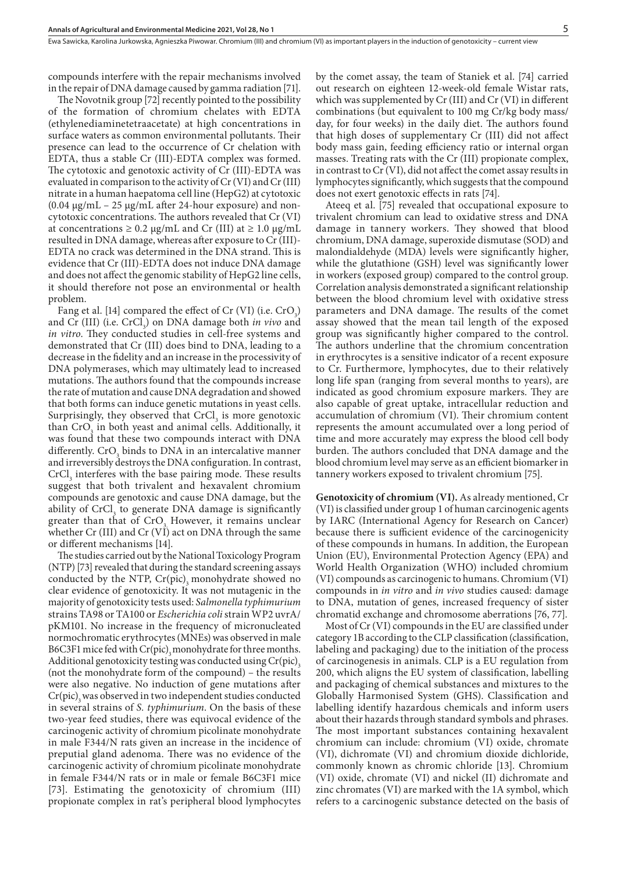compounds interfere with the repair mechanisms involved in the repair of DNA damage caused by gamma radiation [71].

The Novotnik group [72] recently pointed to the possibility of the formation of chromium chelates with EDTA (ethylenediaminetetraacetate) at high concentrations in surface waters as common environmental pollutants. Their presence can lead to the occurrence of Cr chelation with EDTA, thus a stable Cr (III)-EDTA complex was formed. The cytotoxic and genotoxic activity of Cr (III)-EDTA was evaluated in comparison to the activity of Cr (VI) and Cr (III) nitrate in a human haepatoma cell line (HepG2) at cytotoxic (0.04 μg/mL – 25 μg/mL after 24-hour exposure) and noncytotoxic concentrations. The authors revealed that Cr (VI) at concentrations  $\geq$  0.2 μg/mL and Cr (III) at  $\geq$  1.0 μg/mL resulted in DNA damage, whereas after exposure to Cr (III)- EDTA no crack was determined in the DNA strand. This is evidence that Cr (III)-EDTA does not induce DNA damage and does not affect the genomic stability of HepG2 line cells, it should therefore not pose an environmental or health problem.

Fang et al. [14] compared the effect of Cr  $(VI)$  (i.e.  $CrO<sub>3</sub>$ ) and Cr (III) (i.e. CrCl<sub>3</sub>) on DNA damage both *in vivo* and *in vitro*. They conducted studies in cell-free systems and demonstrated that Cr (III) does bind to DNA, leading to a decrease in the fidelity and an increase in the processivity of DNA polymerases, which may ultimately lead to increased mutations. The authors found that the compounds increase the rate of mutation and cause DNA degradation and showed that both forms can induce genetic mutations in yeast cells. Surprisingly, they observed that  $CrCl<sub>3</sub>$  is more genotoxic than  $CrO_3$  in both yeast and animal cells. Additionally, it was found that these two compounds interact with DNA differently.  $\text{CrO}_3$  binds to DNA in an intercalative manner and irreversibly destroys the DNA configuration. In contrast,  $CrCl<sub>3</sub>$  interferes with the base pairing mode. These results suggest that both trivalent and hexavalent chromium compounds are genotoxic and cause DNA damage, but the ability of  $CrCl<sub>3</sub>$  to generate DNA damage is significantly greater than that of CrO<sub>2</sub>. However, it remains unclear whether Cr (III) and Cr  $(VI)$  act on DNA through the same or different mechanisms [14].

The studies carried out by the [National Toxicology Program](https://www.ncbi.nlm.nih.gov/pubmed/?term=National Toxicology Program%5BCorporate Author%5D) (NTP) [73] revealed that during the standard screening assays conducted by the NTP,  $Cr(pic)$ , monohydrate showed no clear evidence of genotoxicity. It was not mutagenic in the majority of genotoxicity tests used: *Salmonella typhimurium* strains TA98 or TA100 or *Escherichia coli* strain WP2 uvrA/ pKM101. No increase in the frequency of micronucleated normochromatic erythrocytes (MNEs) was observed in male B6C3F1 mice fed with Cr(pic), monohydrate for three months. Additional genotoxicity testing was conducted using  $Cr(pic)$ <sub>3</sub> (not the monohydrate form of the compound) – the results were also negative. No induction of gene mutations after  $Cr(pic)$ <sub>3</sub> was observed in two independent studies conducted in several strains of *S. typhimurium*. On the basis of these two-year feed studies, there was equivocal evidence of the carcinogenic activity of chromium picolinate monohydrate in male F344/N rats given an increase in the incidence of preputial gland adenoma. There was no evidence of the carcinogenic activity of chromium picolinate monohydrate in female F344/N rats or in male or female B6C3F1 mice [73]. Estimating the genotoxicity of chromium (III) propionate complex in rat's peripheral blood lymphocytes

by the comet assay, the team of Staniek et al. [74] carried out research on eighteen 12-week-old female Wistar rats, which was supplemented by Cr (III) and Cr (VI) in different combinations (but equivalent to 100 mg Cr/kg body mass/ day, for four weeks) in the daily diet. The authors found that high doses of supplementary Cr (III) did not affect body mass gain, feeding efficiency ratio or internal organ masses. Treating rats with the Cr (III) propionate complex, in contrast to Cr (VI), did not affect the comet assay results in lymphocytes significantly, which suggests that the compound does not exert genotoxic effects in rats [74].

Ateeq et al. [75] revealed that occupational exposure to trivalent chromium can lead to oxidative stress and DNA damage in tannery workers. They showed that blood chromium, DNA damage, superoxide dismutase (SOD) and malondialdehyde (MDA) levels were significantly higher, while the glutathione (GSH) level was significantly lower in workers (exposed group) compared to the control group. Correlation analysis demonstrated a significant relationship between the blood chromium level with oxidative stress parameters and DNA damage. The results of the comet assay showed that the mean tail length of the exposed group was significantly higher compared to the control. The authors underline that the chromium concentration in erythrocytes is a sensitive indicator of a recent exposure to Cr. Furthermore, lymphocytes, due to their relatively long life span (ranging from several months to years), are indicated as good chromium exposure markers. They are also capable of great uptake, intracellular reduction and accumulation of chromium (VI). Their chromium content represents the amount accumulated over a long period of time and more accurately may express the blood cell body burden. The authors concluded that DNA damage and the blood chromium level may serve as an efficient biomarker in tannery workers exposed to trivalent chromium [75].

**Genotoxicity of chromium (VI).** As already mentioned, Cr (VI) is classified under group 1 of human carcinogenic agents by IARC (International Agency for Research on Cancer) because there is sufficient evidence of the carcinogenicity of these compounds in humans. In addition, the European Union (EU), Environmental Protection Agency (EPA) and World Health Organization (WHO) included chromium (VI) compounds as carcinogenic to humans. Chromium (VI) compounds in *in vitro* and *in vivo* studies caused: damage to DNA, mutation of genes, increased frequency of sister chromatid exchange and chromosome aberrations [76, 77].

Most of Cr (VI) compounds in the EU are classified under category 1B according to the CLP classification (classification, labeling and packaging) due to the initiation of the process of carcinogenesis in animals. CLP is a EU regulation from 200, which aligns the EU system of classification, labelling and packaging of chemical substances and mixtures to the Globally Harmonised System (GHS). Classification and labelling identify hazardous chemicals and inform users about their hazards through standard symbols and phrases. The most important substances containing hexavalent chromium can include: chromium (VI) oxide, chromate (VI), dichromate (VI) and chromium dioxide dichloride, commonly known as chromic chloride [13]. Chromium (VI) oxide, chromate (VI) and nickel (II) dichromate and zinc chromates (VI) are marked with the 1A symbol, which refers to a carcinogenic substance detected on the basis of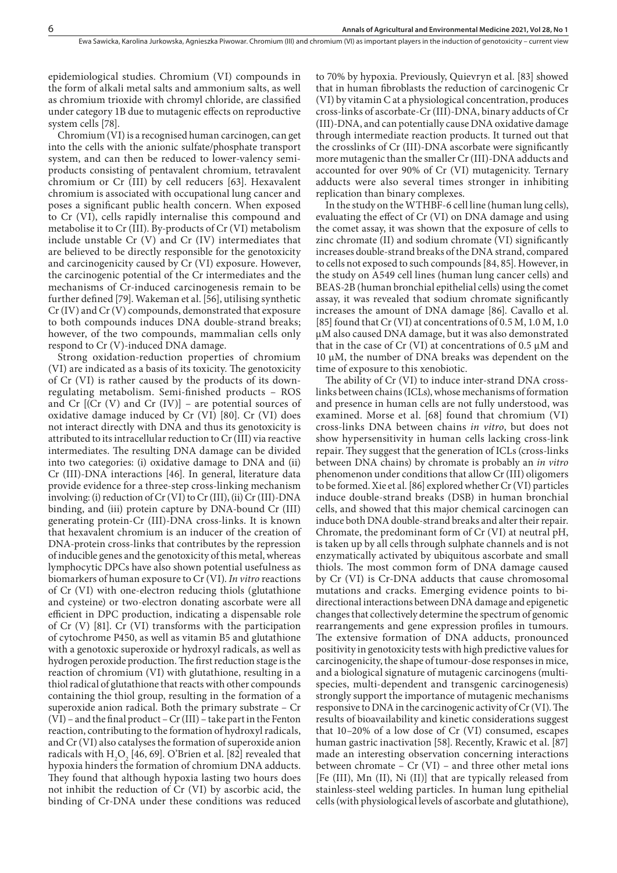epidemiological studies. Chromium (VI) compounds in the form of alkali metal salts and ammonium salts, as well as chromium trioxide with chromyl chloride, are classified under category 1B due to mutagenic effects on reproductive system cells [78].

Chromium (VI) is a recognised human carcinogen, can get into the cells with the anionic sulfate/phosphate transport system, and can then be reduced to lower-valency semiproducts consisting of pentavalent chromium, tetravalent chromium or Cr (III) by cell reducers [63]. Hexavalent chromium is associated with occupational lung cancer and poses a significant public health concern. When exposed to Cr (VI), cells rapidly internalise this compound and metabolise it to Cr (III). By-products of Cr (VI) metabolism include unstable  $Cr$   $(V)$  and  $Cr$   $(IV)$  intermediates that are believed to be directly responsible for the genotoxicity and carcinogenicity caused by Cr (VI) exposure. However, the carcinogenic potential of the Cr intermediates and the mechanisms of Cr-induced carcinogenesis remain to be further defined [79]. Wakeman et al. [56], utilising synthetic Cr (IV) and Cr (V) compounds, demonstrated that exposure to both compounds induces DNA double-strand breaks; however, of the two compounds, mammalian cells only respond to Cr (V)-induced DNA damage.

Strong oxidation-reduction properties of chromium (VI) are indicated as a basis of its toxicity. The genotoxicity of Cr (VI) is rather caused by the products of its downregulating metabolism. Semi-finished products – ROS and Cr  $[(Cr (V) and Cr (IV)] - are potential sources of$ oxidative damage induced by Cr (VI) [80]. Cr (VI) does not interact directly with DNA and thus its genotoxicity is attributed to its intracellular reduction to Cr (III) via reactive intermediates. The resulting DNA damage can be divided into two categories: (i) oxidative damage to DNA and (ii) Cr (III)-DNA interactions [46]. In general, literature data provide evidence for a three-step cross-linking mechanism involving: (i) reduction of Cr (VI) to Cr (III), (ii) Cr (III)-DNA binding, and (iii) protein capture by DNA-bound Cr (III) generating protein-Cr (III)-DNA cross-links. It is known that hexavalent chromium is an inducer of the creation of DNA-protein cross-links that contributes by the repression of inducible genes and the genotoxicity of this metal, whereas lymphocytic DPCs have also shown potential usefulness as biomarkers of human exposure to Cr (VI). *In vitro* reactions of Cr (VI) with one-electron reducing thiols (glutathione and cysteine) or two-electron donating ascorbate were all efficient in DPC production, indicating a dispensable role of Cr (V) [81]. Cr (VI) transforms with the participation of cytochrome P450, as well as vitamin B5 and glutathione with a genotoxic superoxide or hydroxyl radicals, as well as hydrogen peroxide production. The first reduction stage is the reaction of chromium (VI) with glutathione, resulting in a thiol radical of glutathione that reacts with other compounds containing the thiol group, resulting in the formation of a superoxide anion radical. Both the primary substrate – Cr (VI) – and the final product – Cr (III) – take part in the Fenton reaction, contributing to the formation of hydroxyl radicals, and Cr (VI) also catalyses the formation of superoxide anion radicals with  $H_2O_2$  [46, 69]. O'Brien et al. [82] revealed that hypoxia hinders the formation of chromium DNA adducts. They found that although hypoxia lasting two hours does not inhibit the reduction of Cr (VI) by ascorbic acid, the binding of Cr-DNA under these conditions was reduced

to 70% by hypoxia. Previously, Quievryn et al. [83] showed that in human fibroblasts the reduction of carcinogenic Cr (VI) by vitamin C at a physiological concentration, produces cross-links of ascorbate-Cr (III)-DNA, binary adducts of Cr (III)-DNA, and can potentially cause DNA oxidative damage through intermediate reaction products. It turned out that the crosslinks of Cr (III)-DNA ascorbate were significantly more mutagenic than the smaller Cr (III)-DNA adducts and accounted for over 90% of Cr (VI) mutagenicity. Ternary adducts were also several times stronger in inhibiting replication than binary complexes.

In the study on the WTHBF-6 cell line (human lung cells), evaluating the effect of Cr (VI) on DNA damage and using the comet assay, it was shown that the exposure of cells to zinc chromate (II) and sodium chromate (VI) significantly increases double-strand breaks of the DNA strand, compared to cells not exposed to such compounds [84, 85]. However, in the study on A549 cell lines (human lung cancer cells) and BEAS-2B (human bronchial epithelial cells) using the comet assay, it was revealed that sodium chromate significantly increases the amount of DNA damage [86]. Cavallo et al. [85] found that Cr (VI) at concentrations of 0.5 M, 1.0 M, 1.0 µM also caused DNA damage, but it was also demonstrated that in the case of Cr (VI) at concentrations of  $0.5 \mu M$  and 10 µM, the number of DNA breaks was dependent on the time of exposure to this xenobiotic.

The ability of Cr (VI) to induce inter-strand DNA crosslinks between chains (ICLs), whose mechanisms of formation and presence in human cells are not fully understood, was examined. Morse et al. [68] found that chromium (VI) cross-links DNA between chains *in vitro*, but does not show hypersensitivity in human cells lacking cross-link repair. They suggest that the generation of ICLs (cross-links between DNA chains) by chromate is probably an *in vitro* phenomenon under conditions that allow Cr (III) oligomers to be formed. Xie et al. [86] explored whether Cr (VI) particles induce double-strand breaks (DSB) in human bronchial cells, and showed that this major chemical carcinogen can induce both DNA double-strand breaks and alter their repair. Chromate, the predominant form of Cr (VI) at neutral pH, is taken up by all cells through sulphate channels and is not enzymatically activated by ubiquitous ascorbate and small thiols. The most common form of DNA damage caused by Cr (VI) is Cr-DNA adducts that cause chromosomal mutations and cracks. Emerging evidence points to bidirectional interactions between DNA damage and epigenetic changes that collectively determine the spectrum of genomic rearrangements and gene expression profiles in tumours. The extensive formation of DNA adducts, pronounced positivity in genotoxicity tests with high predictive values for carcinogenicity, the shape of tumour-dose responses in mice, and a biological signature of mutagenic carcinogens (multispecies, multi-dependent and transgenic carcinogenesis) strongly support the importance of mutagenic mechanisms responsive to DNA in the carcinogenic activity of Cr (VI). The results of bioavailability and kinetic considerations suggest that 10–20% of a low dose of Cr (VI) consumed, escapes human gastric inactivation [58]. Recently, Krawic et al. [87] made an interesting observation concerning interactions between chromate –  $Cr$  (VI) – and three other metal ions [Fe (III), Mn (II), Ni (II)] that are typically released from stainless-steel welding particles. In human lung epithelial cells (with physiological levels of ascorbate and glutathione),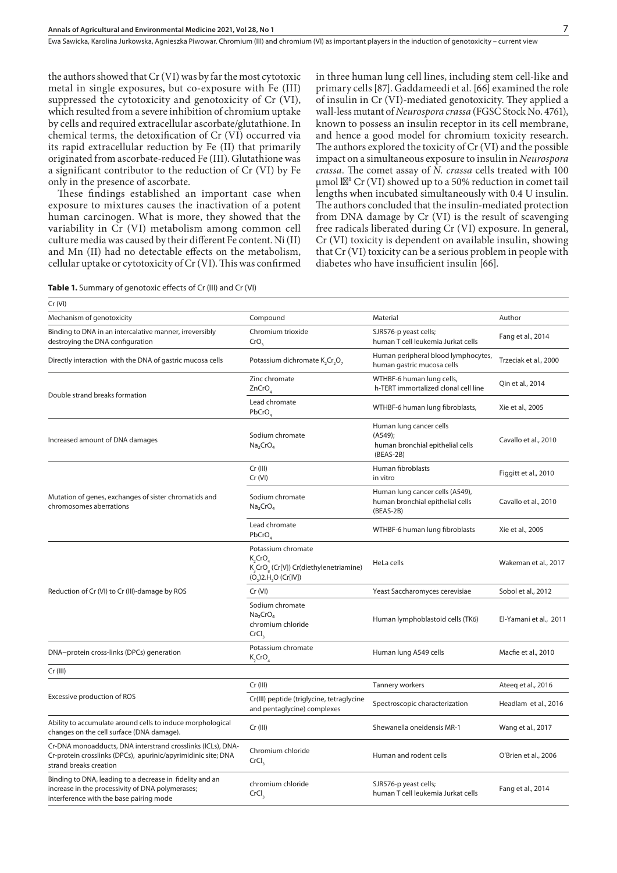Ewa Sawicka, Karolina Jurkowska, Agnieszka Piwowar . Chromium (III) and chromium (VI) as important players in the induction of genotoxicity – current view

the authors showed that Cr (VI) was by far the most cytotoxic metal in single exposures, but co-exposure with Fe (III) suppressed the cytotoxicity and genotoxicity of Cr (VI), which resulted from a severe inhibition of chromium uptake by cells and required extracellular ascorbate/glutathione. In chemical terms, the detoxification of Cr (VI) occurred via its rapid extracellular reduction by Fe (II) that primarily originated from ascorbate-reduced Fe (III). Glutathione was a significant contributor to the reduction of Cr (VI) by Fe only in the presence of ascorbate.

These findings established an important case when exposure to mixtures causes the inactivation of a potent human carcinogen. What is more, they showed that the variability in Cr (VI) metabolism among common cell culture media was caused by their different Fe content. Ni (II) and Mn (II) had no detectable effects on the metabolism, cellular uptake or cytotoxicity of Cr (VI). This was confirmed in three human lung cell lines, including stem cell-like and primary cells [87]. Gaddameedi et al. [66] examined the role of insulin in Cr (VI)-mediated genotoxicity. They applied a wall-less mutant of *Neurospora crassa* (FGSC Stock No. 4761), known to possess an insulin receptor in its cell membrane, and hence a good model for chromium toxicity research. The authors explored the toxicity of Cr (VI) and the possible impact on a simultaneous exposure to insulin in *Neurospora crassa*. The comet assay of *N. crassa* cells treated with 100  $\mu$ mol l<sup>1</sup> Cr (VI) showed up to a 50% reduction in comet tail lengths when incubated simultaneously with 0.4 U insulin. The authors concluded that the insulin-mediated protection from DNA damage by Cr (VI) is the result of scavenging free radicals liberated during Cr (VI) exposure. In general, Cr (VI) toxicity is dependent on available insulin, showing that Cr (VI) toxicity can be a serious problem in people with diabetes who have insufficient insulin [66].

| Cr (VI)                                                                                                                                                 |                                                                                                                                      |                                                                                          |                        |
|---------------------------------------------------------------------------------------------------------------------------------------------------------|--------------------------------------------------------------------------------------------------------------------------------------|------------------------------------------------------------------------------------------|------------------------|
| Mechanism of genotoxicity                                                                                                                               | Compound                                                                                                                             | Material                                                                                 | Author                 |
| Binding to DNA in an intercalative manner, irreversibly<br>destroying the DNA configuration                                                             | Chromium trioxide<br>CrO,                                                                                                            | SJR576-p yeast cells;<br>human T cell leukemia Jurkat cells                              | Fang et al., 2014      |
| Directly interaction with the DNA of gastric mucosa cells                                                                                               | Potassium dichromate K <sub>2</sub> Cr <sub>2</sub> O <sub>2</sub>                                                                   | Human peripheral blood lymphocytes,<br>human gastric mucosa cells                        | Trzeciak et al., 2000  |
| Double strand breaks formation                                                                                                                          | Zinc chromate<br>ZnCrO                                                                                                               | WTHBF-6 human lung cells,<br>h-TERT immortalized clonal cell line                        | Qin et al., 2014       |
|                                                                                                                                                         | Lead chromate<br>PbCrO <sub>4</sub>                                                                                                  | WTHBF-6 human lung fibroblasts,                                                          | Xie et al., 2005       |
| Increased amount of DNA damages                                                                                                                         | Sodium chromate<br>Na <sub>2</sub> CrO <sub>4</sub>                                                                                  | Human lung cancer cells<br>$(A549)$ ;<br>human bronchial epithelial cells<br>$(BEAS-2B)$ | Cavallo et al., 2010   |
| Mutation of genes, exchanges of sister chromatids and<br>chromosomes aberrations                                                                        | $Cr$ (III)<br>Cr (VI)                                                                                                                | Human fibroblasts<br>in vitro                                                            | Figgitt et al., 2010   |
|                                                                                                                                                         | Sodium chromate<br>Na <sub>2</sub> CrO <sub>4</sub>                                                                                  | Human lung cancer cells (A549),<br>human bronchial epithelial cells<br>$(BEAS-2B)$       | Cavallo et al., 2010   |
|                                                                                                                                                         | Lead chromate<br>PbCrO                                                                                                               | WTHBF-6 human lung fibroblasts                                                           | Xie et al., 2005       |
| Reduction of Cr (VI) to Cr (III)-damage by ROS                                                                                                          | Potassium chromate<br>K,CrO<br>K <sub>3</sub> CrO <sub>s</sub> (Cr[V]) Cr(diethylenetriamine)<br>$(O_2)$ 2.H <sub>2</sub> O (Cr[IV]) | HeLa cells                                                                               | Wakeman et al., 2017   |
|                                                                                                                                                         | Cr (VI)                                                                                                                              | Yeast Saccharomyces cerevisiae                                                           | Sobol et al., 2012     |
|                                                                                                                                                         | Sodium chromate<br>Na <sub>2</sub> CrO <sub>4</sub><br>chromium chloride<br>CrCl <sub>3</sub>                                        | Human lymphoblastoid cells (TK6)                                                         | El-Yamani et al., 2011 |
| DNA-protein cross-links (DPCs) generation                                                                                                               | Potassium chromate<br>$K,$ CrO $_A$                                                                                                  | Human lung A549 cells                                                                    | Macfie et al., 2010    |
| $Cr$ (III)                                                                                                                                              |                                                                                                                                      |                                                                                          |                        |
| Excessive production of ROS                                                                                                                             | $Cr$ (III)                                                                                                                           | <b>Tannery workers</b>                                                                   | Ateeq et al., 2016     |
|                                                                                                                                                         | Cr(III) peptide (triglycine, tetraglycine<br>and pentaglycine) complexes                                                             | Spectroscopic characterization                                                           | Headlam et al., 2016   |
| Ability to accumulate around cells to induce morphological<br>changes on the cell surface (DNA damage).                                                 | Cr (III)                                                                                                                             | Shewanella oneidensis MR-1                                                               | Wang et al., 2017      |
| Cr-DNA monoadducts, DNA interstrand crosslinks (ICLs), DNA-<br>Cr-protein crosslinks (DPCs), apurinic/apyrimidinic site; DNA<br>strand breaks creation  | Chromium chloride<br>CrCl <sub>3</sub>                                                                                               | Human and rodent cells                                                                   | O'Brien et al., 2006   |
| Binding to DNA, leading to a decrease in fidelity and an<br>increase in the processivity of DNA polymerases;<br>interference with the base pairing mode | chromium chloride<br>CrCl <sub>3</sub>                                                                                               | SJR576-p yeast cells;<br>human T cell leukemia Jurkat cells                              | Fang et al., 2014      |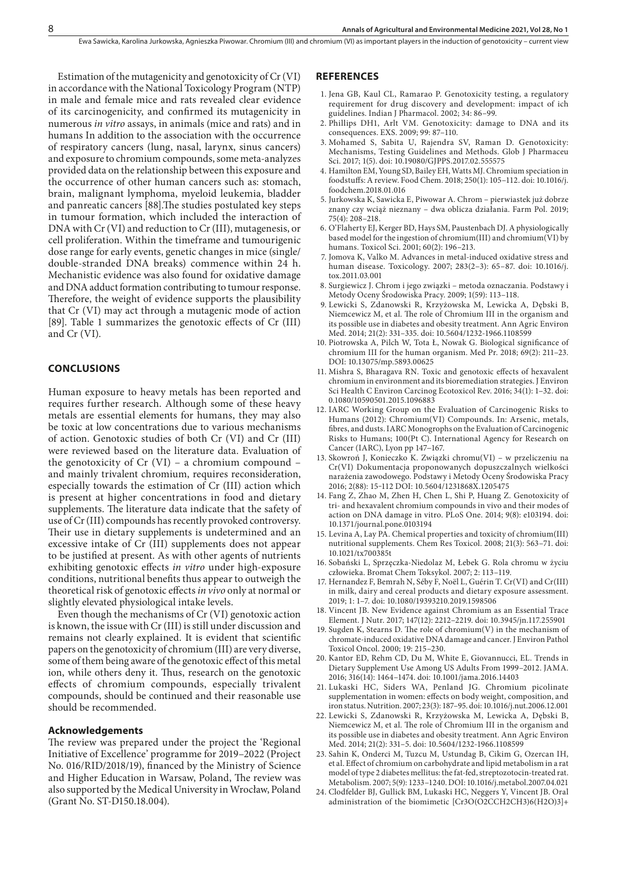Estimation of the mutagenicity and genotoxicity of Cr (VI) in accordance with the National Toxicology Program (NTP) in male and female mice and rats revealed clear evidence of its carcinogenicity, and confirmed its mutagenicity in numerous *in vitro* assays, in animals (mice and rats) and in humans In addition to the association with the occurrence of respiratory cancers (lung, nasal, larynx, sinus cancers) and exposure to chromium compounds, some meta-analyzes provided data on the relationship between this exposure and the occurrence of other human cancers such as: stomach, brain, malignant lymphoma, myeloid leukemia, bladder and panreatic cancers [88].The studies postulated key steps in tumour formation, which included the interaction of DNA with Cr (VI) and reduction to Cr (III), mutagenesis, or cell proliferation. Within the timeframe and tumourigenic dose range for early events, genetic changes in mice (single/ double-stranded DNA breaks) commence within 24 h. Mechanistic evidence was also found for oxidative damage and DNA adduct formation contributing to tumour response. Therefore, the weight of evidence supports the plausibility that Cr (VI) may act through a mutagenic mode of action [89]. Table 1 summarizes the genotoxic effects of Cr (III) and Cr (VI).

#### **CONCLUSIONS**

Human exposure to heavy metals has been reported and requires further research. Although some of these heavy metals are essential elements for humans, they may also be toxic at low concentrations due to various mechanisms of action. Genotoxic studies of both Cr (VI) and Cr (III) were reviewed based on the literature data. Evaluation of the genotoxicity of Cr (VI) – a chromium compound – and mainly trivalent chromium, requires reconsideration, especially towards the estimation of Cr (III) action which is present at higher concentrations in food and dietary supplements. The literature data indicate that the safety of use of Cr (III) compounds has recently provoked controversy. Their use in dietary supplements is undetermined and an excessive intake of Cr (III) supplements does not appear to be justified at present. As with other agents of nutrients exhibiting genotoxic effects *in vitro* under high-exposure conditions, nutritional benefits thus appear to outweigh the theoretical risk of genotoxic effects *in vivo* only at normal or slightly elevated physiological intake levels.

Even though the mechanisms of Cr (VI) genotoxic action is known, the issue with Cr (III) is still under discussion and remains not clearly explained. It is evident that scientific papers on the genotoxicity of chromium (III) are very diverse, some of them being aware of the genotoxic effect of this metal ion, while others deny it. Thus, research on the genotoxic effects of chromium compounds, especially trivalent compounds, should be continued and their reasonable use should be recommended.

#### **Acknowledgements**

The review was prepared under the project the 'Regional Initiative of Excellence' programme for 2019–2022 (Project No. 016/RID/2018/19), financed by the Ministry of Science and Higher Education in Warsaw, Poland, The review was also supported by the Medical University in Wrocław, Poland (Grant No. ST-D150.18.004).

#### **REFERENCES**

- 1. Jena GB, Kaul CL, Ramarao P. Genotoxicity testing, a regulatory requirement for drug discovery and development: impact of ich guidelines. Indian J Pharmacol. 2002; 34: 86–99.
- 2. Phillips DH1, Arlt VM. Genotoxicity: damage to DNA and its consequences. EXS. 2009; 99: 87–110.
- 3. Mohamed S, Sabita U, Rajendra SV, Raman D. Genotoxicity: Mechanisms, Testing Guidelines and Methods. Glob J Pharmaceu Sci. 2017; 1(5). doi: 10.19080/GJPPS.2017.02.555575
- 4. Hamilton EM, Young SD, Bailey EH, Watts MJ. Chromium speciation in foodstuffs: A review. Food Chem. 2018; 250(1): 105–112. doi: 10.1016/j. foodchem.2018.01.016
- 5. Jurkowska K, Sawicka E, Piwowar A. Chrom pierwiastek już dobrze znany czy wciąż nieznany – dwa oblicza działania. Farm Pol. 2019; 75(4): 208–218.
- 6. O'Flaherty EJ, Kerger BD, Hays SM, Paustenbach DJ. A physiologically based model for the ingestion of chromium(III) and chromium(VI) by humans. Toxicol Sci. 2001; 60(2): 196–213.
- 7. Jomova K, Valko M. Advances in metal-induced oxidative stress and human disease. Toxicology. 2007; 283(2–3): 65–87. doi: 10.1016/j. tox.2011.03.001
- 8. Surgiewicz J. Chrom i jego związki metoda oznaczania. Podstawy i Metody Oceny Środowiska Pracy. 2009; 1(59): 113–118.
- 9. Lewicki S, Zdanowski R, Krzyżowska M, Lewicka A, Dębski B, Niemcewicz M, et al. The role of Chromium III in the organism and its possible use in diabetes and obesity treatment. Ann Agric Environ Med. 2014; 21(2): 331–335. doi: 10.5604/1232-1966.1108599
- 10. Piotrowska A, Pilch W, Tota Ł, Nowak G. Biological significance of chromium III for the human organism. Med Pr. 2018; 69(2): 211–23. DOI: 10.13075/mp.5893.00625
- 11. Mishra S, Bharagava RN. Toxic and genotoxic effects of hexavalent chromium in environment and its bioremediation strategies. J Environ Sci Health C Environ Carcinog Ecotoxicol Rev. 2016; 34(1): 1–32. doi: 0.1080/10590501.2015.1096883
- 12. IARC Working Group on the Evaluation of Carcinogenic Risks to Humans (2012): Chromium(VI) Compounds. In: Arsenic, metals, fibres, and dusts. IARC Monogrophs on the Evaluation of Carcinogenic Risks to Humans; 100(Pt C). International Agency for Research on Cancer (IARC), Lyon pp 147−167.
- 13. Skowroń J, Konieczko K. Związki chromu(VI) w przeliczeniu na Cr(VI) Dokumentacja proponowanych dopuszczalnych wielkości narażenia zawodowego. Podstawy i Metody Oceny Środowiska Pracy 2016; 2(88): 15‒112 DOI: 10.5604/1231868X.1205475
- 14. Fang Z, Zhao M, Zhen H, Chen L, Shi P, Huang Z. Genotoxicity of tri- and hexavalent chromium compounds in vivo and their modes of action on DNA damage in vitro. PLoS One. 2014; 9(8): e103194. doi: 10.1371/journal.pone.0103194
- 15. Levina A, Lay PA. Chemical properties and toxicity of chromium(III) nutritional supplements. Chem Res Toxicol. 2008; 21(3): 563–71. doi: 10.1021/tx700385t
- 16. Sobański L, Sprzęczka-Niedolaz M, Łebek G. Rola chromu w życiu człowieka. Bromat Chem Toksykol. 2007; 2: 113–119.
- 17. Hernandez F, Bemrah N, Séby F, Noël L, Guérin T. Cr(VI) and Cr(III) in milk, dairy and cereal products and dietary exposure assessment. 2019; 1: 1–7. doi: 10.1080/19393210.2019.1598506
- 18. Vincent JB. New Evidence against Chromium as an Essential Trace Element. J Nutr. 2017; 147(12): 2212–2219. doi: 10.3945/jn.117.255901
- 19. Sugden K, Stearns D. The role of chromium(V) in the mechanism of chromate-induced oxidative DNA damage and cancer. J Environ Pathol Toxicol Oncol. 2000; 19: 215–230.
- 20. Kantor ED, Rehm CD, Du M, White E, Giovannucci, EL. Trends in Dietary Supplement Use Among US Adults From 1999–2012. JAMA. 2016; 316(14): 1464–1474. doi: 10.1001/jama.2016.14403
- 21. Lukaski HC, Siders WA, Penland JG. Chromium picolinate supplementation in women: effects on body weight, composition, and iron status. Nutrition. 2007; 23(3): 187–95. doi: 10.1016/j.nut.2006.12.001
- 22. Lewicki S, Zdanowski R, Krzyżowska M, Lewicka A, Dębski B, Niemcewicz M, et al. The role of Chromium III in the organism and its possible use in diabetes and obesity treatment. Ann Agric Environ Med. 2014; 21(2): 331–5. doi: 10.5604/1232-1966.1108599
- 23. Sahin K, Onderci M, Tuzcu M, Ustundag B, Cikim G, Ozercan IH, et al. Effect of chromium on carbohydrate and lipid metabolism in a rat model of type 2 diabetes mellitus: the fat-fed, streptozotocin-treated rat. Metabolism. 2007; 5(9): 1233–1240. DOI: 10.1016/j.metabol.2007.04.021
- 24. Clodfelder BJ, Gullick BM, Lukaski HC, Neggers Y, Vincent JB. Oral administration of the biomimetic [Cr3O(O2CCH2CH3)6(H2O)3]+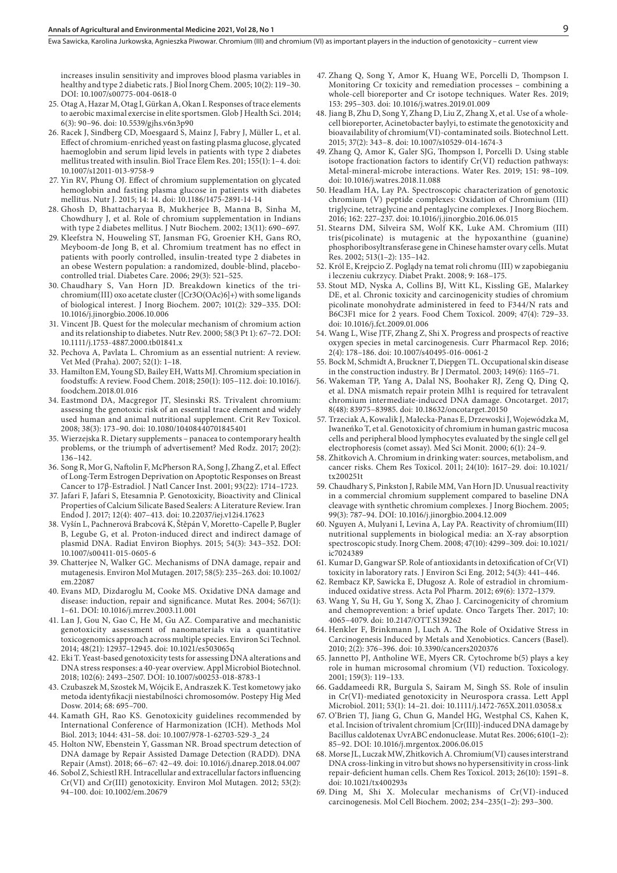Ewa Sawicka, Karolina Jurkowska, Agnieszka Piwowar . Chromium (III) and chromium (VI) as important players in the induction of genotoxicity – current view

increases insulin sensitivity and improves blood plasma variables in healthy and type 2 diabetic rats. J Biol Inorg Chem. 2005; 10(2): 119–30. DOI: 10.1007/s00775-004-0618-0

- 25. Otag A, Hazar M, Otag I, Gürkan A, Okan I. Responses of trace elements to aerobic maximal exercise in elite sportsmen. Glob J Health Sci. 2014; 6(3): 90–96. doi: 10.5539/gjhs.v6n3p90
- 26. Racek J, Sindberg CD, Moesgaard S, Mainz J, Fabry J, Müller L, et al. Effect of chromium-enriched yeast on fasting plasma glucose, glycated haemoglobin and serum lipid levels in patients with type 2 diabetes mellitus treated with insulin. Biol Trace Elem Res. 201; 155(1): 1–4. doi: 10.1007/s12011-013-9758-9
- 27. Yin RV, Phung OJ. Effect of chromium supplementation on glycated hemoglobin and fasting plasma glucose in patients with diabetes mellitus. Nutr J. 2015; 14: 14. doi: 10.1186/1475-2891-14-14
- 28. Ghosh D, Bhattacharyaa B, Mukherjee B, Manna B, Sinha M, Chowdhury J, et al. Role of chromium supplementation in Indians with type 2 diabetes mellitus. J Nutr Biochem. 2002; 13(11): 690–697.
- 29. Kleefstra N, Houweling ST, Jansman FG, Groenier KH, Gans RO, Meyboom-de Jong B, et al. Chromium treatment has no effect in patients with poorly controlled, insulin-treated type 2 diabetes in an obese Western population: a randomized, double-blind, placebocontrolled trial. Diabetes Care. 2006; 29(3): 521–525.
- 30. Chaudhary S, Van Horn JD. Breakdown kinetics of the trichromium(III) oxo acetate cluster ([Cr3O(OAc)6]+) with some ligands of biological interest. J Inorg Biochem. 2007; 101(2): 329–335. DOI: 10.1016/j.jinorgbio.2006.10.006
- 31. Vincent JB. Quest for the molecular mechanism of chromium action and its relationship to diabetes. Nutr Rev. 2000; 58(3 Pt 1): 67–72. DOI: 10.1111/j.1753-4887.2000.tb01841.x
- 32. Pechova A, Pavlata L. Chromium as an essential nutrient: A review. Vet Med (Praha). 2007; 52(1): 1–18.
- 33. Hamilton EM, Young SD, Bailey EH, Watts MJ. Chromium speciation in foodstuffs: A review. Food Chem. 2018; 250(1): 105–112. doi: 10.1016/j. foodchem.2018.01.016
- 34. Eastmond DA, Macgregor JT, Slesinski RS. Trivalent chromium: assessing the genotoxic risk of an essential trace element and widely used human and animal nutritional supplement. Crit Rev Toxicol. 2008; 38(3): 173–90. doi: 10.1080/10408440701845401
- 35. Wierzejska R. Dietary supplements panacea to contemporary health problems, or the triumph of advertisement? Med Rodz. 2017; 20(2): 136–142.
- 36. Song R, Mor G, Naftolin F, McPherson RA, Song J, Zhang Z, et al. Effect of Long-Term Estrogen Deprivation on Apoptotic Responses on Breast Cancer to 17β-Estradiol. J Natl Cancer Inst. 2001; 93(22): 1714–1723.
- 37. Jafari F, Jafari S, Etesamnia P. Genotoxicity, Bioactivity and Clinical Properties of Calcium Silicate Based Sealers: A Literature Review. Iran Endod J. 2017; 12(4): 407–413. doi: 10.22037/iej.v12i4.17623
- 38. Vyšín L, Pachnerová Brabcová K, Štěpán V, Moretto-Capelle P, Bugler B, Legube G, et al. Proton-induced direct and indirect damage of plasmid DNA. Radiat Environ Biophys. 2015; 54(3): 343–352. DOI: 10.1007/s00411-015-0605-6
- 39. Chatterjee N, Walker GC. Mechanisms of DNA damage, repair and mutagenesis. Environ Mol Mutagen. 2017; 58(5): 235–263. doi: 10.1002/ em.22087
- 40. Evans MD, Dizdaroglu M, Cooke MS. Oxidative DNA damage and disease: induction, repair and significance. Mutat Res. 2004; 567(1): 1–61. DOI: 10.1016/j.mrrev.2003.11.001
- 41. Lan J, Gou N, Gao C, He M, Gu AZ. Comparative and mechanistic genotoxicity assessment of nanomaterials via a quantitative toxicogenomics approach across multiple species. Environ Sci Technol. 2014; 48(21): 12937–12945. doi: 10.1021/es503065q
- 42. Eki T. Yeast-based genotoxicity tests for assessing DNA alterations and DNA stress responses: a 40-year overview. Appl Microbiol Biotechnol. 2018; 102(6): 2493–2507. DOI: 10.1007/s00253-018-8783-1
- 43. Czubaszek M, Szostek M, Wójcik E, Andraszek K. Test kometowy jako metoda identyfikacji niestabilności chromosomów. Postepy Hig Med Dosw. 2014; 68: 695–700.
- 44. Kamath GH, Rao KS. Genotoxicity guidelines recommended by International Conference of Harmonization (ICH). Methods Mol Biol. 2013; 1044: 431–58. doi: 10.1007/978-1-62703-529-3\_24
- 45. Holton NW, Ebenstein Y, Gassman NR. Broad spectrum detection of DNA damage by Repair Assisted Damage Detection (RADD). DNA Repair (Amst). 2018; 66–67: 42–49. doi: 10.1016/j.dnarep.2018.04.007
- 46. Sobol Z, Schiestl RH. Intracellular and extracellular factors influencing Cr(VI) and Cr(III) genotoxicity. Environ Mol Mutagen. 2012; 53(2): 94–100. doi: 10.1002/em.20679
- 47. Zhang Q, Song Y, Amor K, Huang WE, Porcelli D, Thompson I. Monitoring Cr toxicity and remediation processes – combining a whole-cell bioreporter and Cr isotope techniques. Water Res. 2019; 153: 295–303. doi: 10.1016/j.watres.2019.01.009
- 48. Jiang B, Zhu D, Song Y, Zhang D, Liu Z, Zhang X, et al. Use of a wholecell bioreporter, Acinetobacter baylyi, to estimate the genotoxicity and bioavailability of chromium(VI)-contaminated soils. Biotechnol Lett. 2015; 37(2): 343–8. doi: 10.1007/s10529-014-1674-3
- 49. Zhang Q, Amor K, Galer SJG, Thompson I, Porcelli D. Using stable isotope fractionation factors to identify Cr(VI) reduction pathways: Metal-mineral-microbe interactions. Water Res. 2019; 151: 98–109. doi: 10.1016/j.watres.2018.11.088
- 50. Headlam HA, Lay PA. Spectroscopic characterization of genotoxic chromium (V) peptide complexes: Oxidation of Chromium (III) triglycine, tetraglycine and pentaglycine complexes. J Inorg Biochem. 2016; 162: 227–237. doi: 10.1016/j.jinorgbio.2016.06.015
- 51. Stearns DM, Silveira SM, Wolf KK, Luke AM. Chromium (III) tris(picolinate) is mutagenic at the hypoxanthine (guanine) phosphoribosyltransferase gene in Chinese hamster ovary cells. Mutat Res. 2002; 513(1–2): 135–142.
- 52. Król E, Krejpcio Z. Poglądy na temat roli chromu (III) w zapobieganiu i leczeniu cukrzycy. Diabet Prakt. 2008; 9: 168–175.
- 53. Stout MD, Nyska A, Collins BJ, Witt KL, Kissling GE, Malarkey DE, et al. Chronic toxicity and carcinogenicity studies of chromium picolinate monohydrate administered in feed to F344/N rats and B6C3F1 mice for 2 years. Food Chem Toxicol. 2009; 47(4): 729–33. doi: 10.1016/j.fct.2009.01.006
- 54. Wang L, Wise JTF, Zhang Z, Shi X. Progress and prospects of reactive oxygen species in metal carcinogenesis. Curr Pharmacol Rep. 2016; 2(4): 178–186. doi: 10.1007/s40495-016-0061-2
- 55. Bock M, Schmidt A, Bruckner T, Diepgen TL. Occupational skin disease in the construction industry. Br J Dermatol. 2003; 149(6): 1165–71.
- 56. Wakeman TP, Yang A, Dalal NS, Boohaker RJ, Zeng Q, Ding Q, et al. DNA mismatch repair protein Mlh1 is required for tetravalent chromium intermediate-induced DNA damage. Oncotarget. 2017; 8(48): 83975–83985. doi: 10.18632/oncotarget.20150
- 57. Trzeciak A, Kowalik J, Małecka-Panas E, Drzewoski J, Wojewódzka M, Iwaneńko T, et al. Genotoxicity of chromium in human gastric mucosa cells and peripheral blood lymphocytes evaluated by the single cell gel electrophoresis (comet assay). Med Sci Monit. 2000; 6(1): 24–9.
- 58. Zhitkovich A. Chromium in drinking water: sources, metabolism, and cancer risks. Chem Res Toxicol. 2011; 24(10): 1617–29. doi: 10.1021/ tx200251t
- 59. Chaudhary S, Pinkston J, Rabile MM, Van Horn JD. Unusual reactivity in a commercial chromium supplement compared to baseline DNA cleavage with synthetic chromium complexes. J Inorg Biochem. 2005; 99(3): 787–94. DOI: 10.1016/j.jinorgbio.2004.12.009
- 60. Nguyen A, Mulyani I, Levina A, Lay PA. Reactivity of chromium(III) nutritional supplements in biological media: an X-ray absorption spectroscopic study. Inorg Chem. 2008; 47(10): 4299–309. doi: 10.1021/ ic7024389
- 61. Kumar D, Gangwar SP. Role of antioxidants in detoxification of Cr(VI) toxicity in laboratory rats. J Environ Sci Eng. 2012; 54(3): 441–446.
- 62. Rembacz KP, Sawicka E, Długosz A. Role of estradiol in chromiuminduced oxidative stress. Acta Pol Pharm. 2012; 69(6): 1372–1379.
- 63. Wang Y, Su H, Gu Y, Song X, Zhao J. Carcinogenicity of chromium and chemoprevention: a brief update. Onco Targets Ther. 2017; 10: 4065–4079. doi: 10.2147/OTT.S139262
- 64. Henkler F, Brinkmann J, Luch A. The Role of Oxidative Stress in Carcinogenesis Induced by Metals and Xenobiotics. Cancers (Basel). 2010; 2(2): 376–396. doi: 10.3390/cancers2020376
- 65. Jannetto PJ, Antholine WE, Myers CR. Cytochrome b(5) plays a key role in human microsomal chromium (VI) reduction. Toxicology. 2001; 159(3): 119–133.
- 66. Gaddameedi RR, Burgula S, Sairam M, Singh SS. Role of insulin in Cr(VI)-mediated genotoxicity in Neurospora crassa. Lett Appl Microbiol. 2011; 53(1): 14–21. doi: 10.1111/j.1472-765X.2011.03058.x
- 67. O'Brien TJ, Jiang G, Chun G, Mandel HG, Westphal CS, Kahen K, et al. Incision of trivalent chromium [Cr(III)]-induced DNA damage by Bacillus caldotenax UvrABC endonuclease. Mutat Res. 2006; 610(1–2): 85–92. DOI: 10.1016/j.mrgentox.2006.06.015
- 68. Morse JL, Luczak MW, Zhitkovich A. Chromium(VI) causes interstrand DNA cross-linking in vitro but shows no hypersensitivity in cross-link repair-deficient human cells. Chem Res Toxicol. 2013; 26(10): 1591–8. doi: 10.1021/tx400293s
- 69. Ding M, Shi X. Molecular mechanisms of Cr(VI)-induced carcinogenesis. Mol Cell Biochem. 2002; 234–235(1–2): 293–300.